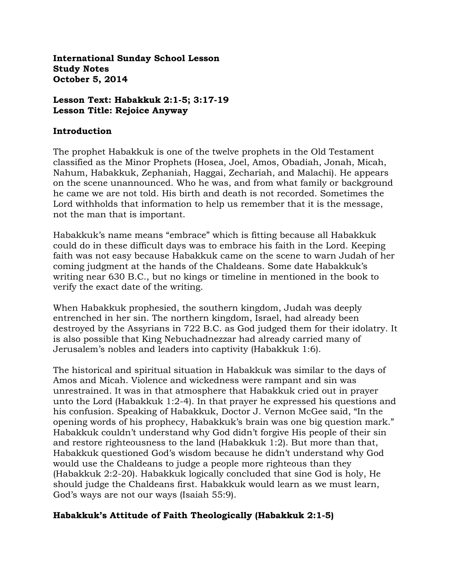**International Sunday School Lesson Study Notes October 5, 2014** 

#### **Lesson Text: Habakkuk 2:1-5; 3:17-19 Lesson Title: Rejoice Anyway**

#### **Introduction**

The prophet Habakkuk is one of the twelve prophets in the Old Testament classified as the Minor Prophets (Hosea, Joel, Amos, Obadiah, Jonah, Micah, Nahum, Habakkuk, Zephaniah, Haggai, Zechariah, and Malachi). He appears on the scene unannounced. Who he was, and from what family or background he came we are not told. His birth and death is not recorded. Sometimes the Lord withholds that information to help us remember that it is the message, not the man that is important.

Habakkuk's name means "embrace" which is fitting because all Habakkuk could do in these difficult days was to embrace his faith in the Lord. Keeping faith was not easy because Habakkuk came on the scene to warn Judah of her coming judgment at the hands of the Chaldeans. Some date Habakkuk's writing near 630 B.C., but no kings or timeline in mentioned in the book to verify the exact date of the writing.

When Habakkuk prophesied, the southern kingdom, Judah was deeply entrenched in her sin. The northern kingdom, Israel, had already been destroyed by the Assyrians in 722 B.C. as God judged them for their idolatry. It is also possible that King Nebuchadnezzar had already carried many of Jerusalem's nobles and leaders into captivity (Habakkuk 1:6).

The historical and spiritual situation in Habakkuk was similar to the days of Amos and Micah. Violence and wickedness were rampant and sin was unrestrained. It was in that atmosphere that Habakkuk cried out in prayer unto the Lord (Habakkuk 1:2-4). In that prayer he expressed his questions and his confusion. Speaking of Habakkuk, Doctor J. Vernon McGee said, "In the opening words of his prophecy, Habakkuk's brain was one big question mark." Habakkuk couldn't understand why God didn't forgive His people of their sin and restore righteousness to the land (Habakkuk 1:2). But more than that, Habakkuk questioned God's wisdom because he didn't understand why God would use the Chaldeans to judge a people more righteous than they (Habakkuk 2:2-20). Habakkuk logically concluded that sine God is holy, He should judge the Chaldeans first. Habakkuk would learn as we must learn, God's ways are not our ways (Isaiah 55:9).

## **Habakkuk's Attitude of Faith Theologically (Habakkuk 2:1-5)**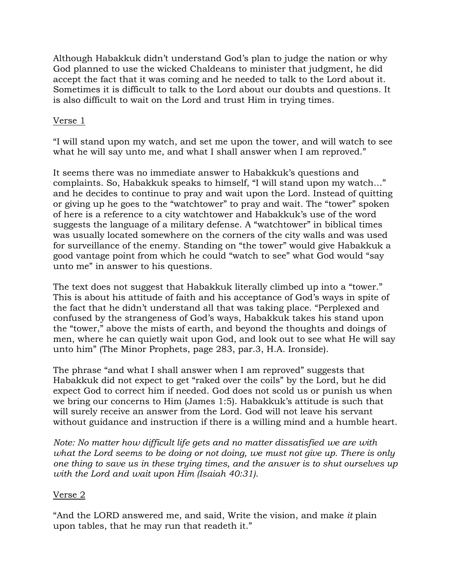Although Habakkuk didn't understand God's plan to judge the nation or why God planned to use the wicked Chaldeans to minister that judgment, he did accept the fact that it was coming and he needed to talk to the Lord about it. Sometimes it is difficult to talk to the Lord about our doubts and questions. It is also difficult to wait on the Lord and trust Him in trying times.

## Verse 1

"I will stand upon my watch, and set me upon the tower, and will watch to see what he will say unto me, and what I shall answer when I am reproved."

It seems there was no immediate answer to Habakkuk's questions and complaints. So, Habakkuk speaks to himself, "I will stand upon my watch…" and he decides to continue to pray and wait upon the Lord. Instead of quitting or giving up he goes to the "watchtower" to pray and wait. The "tower" spoken of here is a reference to a city watchtower and Habakkuk's use of the word suggests the language of a military defense. A "watchtower" in biblical times was usually located somewhere on the corners of the city walls and was used for surveillance of the enemy. Standing on "the tower" would give Habakkuk a good vantage point from which he could "watch to see" what God would "say unto me" in answer to his questions.

The text does not suggest that Habakkuk literally climbed up into a "tower." This is about his attitude of faith and his acceptance of God's ways in spite of the fact that he didn't understand all that was taking place. "Perplexed and confused by the strangeness of God's ways, Habakkuk takes his stand upon the "tower," above the mists of earth, and beyond the thoughts and doings of men, where he can quietly wait upon God, and look out to see what He will say unto him" (The Minor Prophets, page 283, par.3, H.A. Ironside).

The phrase "and what I shall answer when I am reproved" suggests that Habakkuk did not expect to get "raked over the coils" by the Lord, but he did expect God to correct him if needed. God does not scold us or punish us when we bring our concerns to Him (James 1:5). Habakkuk's attitude is such that will surely receive an answer from the Lord. God will not leave his servant without guidance and instruction if there is a willing mind and a humble heart.

*Note: No matter how difficult life gets and no matter dissatisfied we are with*  what the Lord seems to be doing or not doing, we must not give up. There is only *one thing to save us in these trying times, and the answer is to shut ourselves up with the Lord and wait upon Him (Isaiah 40:31)*.

#### Verse 2

"And the LORD answered me, and said, Write the vision, and make *it* plain upon tables, that he may run that readeth it."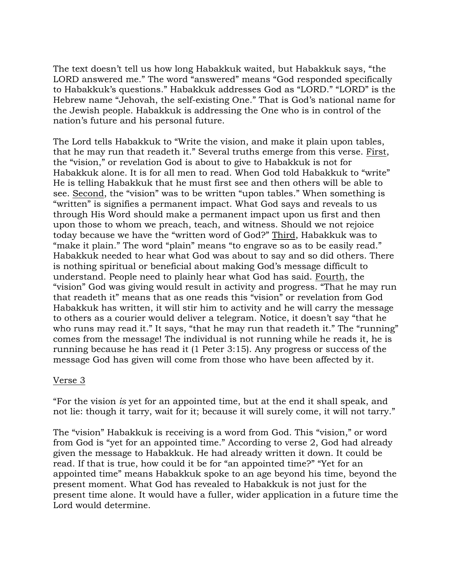The text doesn't tell us how long Habakkuk waited, but Habakkuk says, "the LORD answered me." The word "answered" means "God responded specifically to Habakkuk's questions." Habakkuk addresses God as "LORD." "LORD" is the Hebrew name "Jehovah, the self-existing One." That is God's national name for the Jewish people. Habakkuk is addressing the One who is in control of the nation's future and his personal future.

The Lord tells Habakkuk to "Write the vision, and make it plain upon tables, that he may run that readeth it." Several truths emerge from this verse. First, the "vision," or revelation God is about to give to Habakkuk is not for Habakkuk alone. It is for all men to read. When God told Habakkuk to "write" He is telling Habakkuk that he must first see and then others will be able to see. Second, the "vision" was to be written "upon tables." When something is "written" is signifies a permanent impact. What God says and reveals to us through His Word should make a permanent impact upon us first and then upon those to whom we preach, teach, and witness. Should we not rejoice today because we have the "written word of God?" Third, Habakkuk was to "make it plain." The word "plain" means "to engrave so as to be easily read." Habakkuk needed to hear what God was about to say and so did others. There is nothing spiritual or beneficial about making God's message difficult to understand. People need to plainly hear what God has said. Fourth, the "vision" God was giving would result in activity and progress. "That he may run that readeth it" means that as one reads this "vision" or revelation from God Habakkuk has written, it will stir him to activity and he will carry the message to others as a courier would deliver a telegram. Notice, it doesn't say "that he who runs may read it." It says, "that he may run that readeth it." The "running" comes from the message! The individual is not running while he reads it, he is running because he has read it (1 Peter 3:15). Any progress or success of the message God has given will come from those who have been affected by it.

#### Verse 3

"For the vision *is* yet for an appointed time, but at the end it shall speak, and not lie: though it tarry, wait for it; because it will surely come, it will not tarry."

The "vision" Habakkuk is receiving is a word from God. This "vision," or word from God is "yet for an appointed time." According to verse 2, God had already given the message to Habakkuk. He had already written it down. It could be read. If that is true, how could it be for "an appointed time?" "Yet for an appointed time" means Habakkuk spoke to an age beyond his time, beyond the present moment. What God has revealed to Habakkuk is not just for the present time alone. It would have a fuller, wider application in a future time the Lord would determine.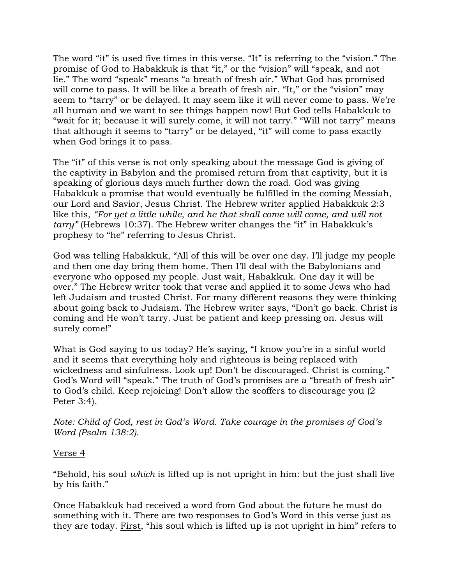The word "it" is used five times in this verse. "It" is referring to the "vision." The promise of God to Habakkuk is that "it," or the "vision" will "speak, and not lie." The word "speak" means "a breath of fresh air." What God has promised will come to pass. It will be like a breath of fresh air. "It," or the "vision" may seem to "tarry" or be delayed. It may seem like it will never come to pass. We're all human and we want to see things happen now! But God tells Habakkuk to "wait for it; because it will surely come, it will not tarry." "Will not tarry" means that although it seems to "tarry" or be delayed, "it" will come to pass exactly when God brings it to pass.

The "it" of this verse is not only speaking about the message God is giving of the captivity in Babylon and the promised return from that captivity, but it is speaking of glorious days much further down the road. God was giving Habakkuk a promise that would eventually be fulfilled in the coming Messiah, our Lord and Savior, Jesus Christ. The Hebrew writer applied Habakkuk 2:3 like this, *"For yet a little while, and he that shall come will come, and will not tarry"* (Hebrews 10:37). The Hebrew writer changes the "it" in Habakkuk's prophesy to "he" referring to Jesus Christ.

God was telling Habakkuk, "All of this will be over one day. I'll judge my people and then one day bring them home. Then I'll deal with the Babylonians and everyone who opposed my people. Just wait, Habakkuk. One day it will be over." The Hebrew writer took that verse and applied it to some Jews who had left Judaism and trusted Christ. For many different reasons they were thinking about going back to Judaism. The Hebrew writer says, "Don't go back. Christ is coming and He won't tarry. Just be patient and keep pressing on. Jesus will surely come!"

What is God saying to us today? He's saying, "I know you're in a sinful world and it seems that everything holy and righteous is being replaced with wickedness and sinfulness. Look up! Don't be discouraged. Christ is coming." God's Word will "speak." The truth of God's promises are a "breath of fresh air" to God's child. Keep rejoicing! Don't allow the scoffers to discourage you (2 Peter 3:4).

*Note: Child of God, rest in God's Word. Take courage in the promises of God's Word (Psalm 138:2).*

#### Verse 4

"Behold, his soul *which* is lifted up is not upright in him: but the just shall live by his faith."

Once Habakkuk had received a word from God about the future he must do something with it. There are two responses to God's Word in this verse just as they are today. First, "his soul which is lifted up is not upright in him" refers to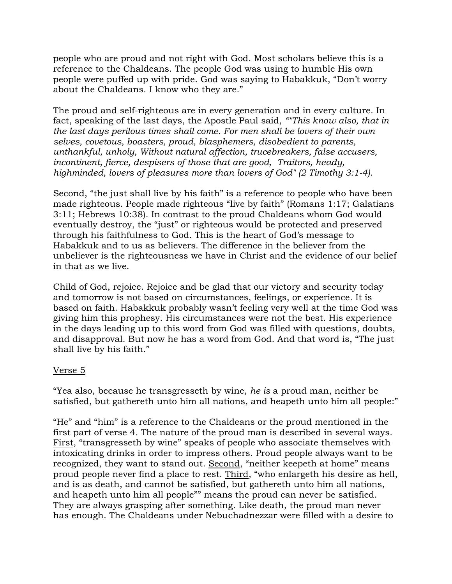people who are proud and not right with God. Most scholars believe this is a reference to the Chaldeans. The people God was using to humble His own people were puffed up with pride. God was saying to Habakkuk, "Don't worry about the Chaldeans. I know who they are."

The proud and self-righteous are in every generation and in every culture. In fact, speaking of the last days, the Apostle Paul said, *""This know also, that in the last days perilous times shall come. For men shall be lovers of their own selves, covetous, boasters, proud, blasphemers, disobedient to parents, unthankful, unholy, Without natural affection, trucebreakers, false accusers, incontinent, fierce, despisers of those that are good, Traitors, heady, highminded, lovers of pleasures more than lovers of God" (2 Timothy 3:1-4).*

Second, "the just shall live by his faith" is a reference to people who have been made righteous. People made righteous "live by faith" (Romans 1:17; Galatians 3:11; Hebrews 10:38). In contrast to the proud Chaldeans whom God would eventually destroy, the "just" or righteous would be protected and preserved through his faithfulness to God. This is the heart of God's message to Habakkuk and to us as believers. The difference in the believer from the unbeliever is the righteousness we have in Christ and the evidence of our belief in that as we live.

Child of God, rejoice. Rejoice and be glad that our victory and security today and tomorrow is not based on circumstances, feelings, or experience. It is based on faith. Habakkuk probably wasn't feeling very well at the time God was giving him this prophesy. His circumstances were not the best. His experience in the days leading up to this word from God was filled with questions, doubts, and disapproval. But now he has a word from God. And that word is, "The just shall live by his faith."

## Verse 5

"Yea also, because he transgresseth by wine, *he is* a proud man, neither be satisfied, but gathereth unto him all nations, and heapeth unto him all people:"

"He" and "him" is a reference to the Chaldeans or the proud mentioned in the first part of verse 4. The nature of the proud man is described in several ways. First, "transgresseth by wine" speaks of people who associate themselves with intoxicating drinks in order to impress others. Proud people always want to be recognized, they want to stand out. Second, "neither keepeth at home" means proud people never find a place to rest. Third, "who enlargeth his desire as hell, and is as death, and cannot be satisfied, but gathereth unto him all nations, and heapeth unto him all people"" means the proud can never be satisfied. They are always grasping after something. Like death, the proud man never has enough. The Chaldeans under Nebuchadnezzar were filled with a desire to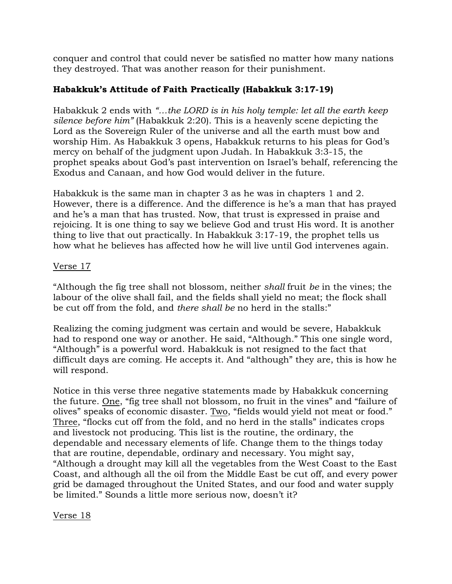conquer and control that could never be satisfied no matter how many nations they destroyed. That was another reason for their punishment.

# **Habakkuk's Attitude of Faith Practically (Habakkuk 3:17-19)**

Habakkuk 2 ends with *"…the LORD is in his holy temple: let all the earth keep silence before him"* (Habakkuk 2:20). This is a heavenly scene depicting the Lord as the Sovereign Ruler of the universe and all the earth must bow and worship Him. As Habakkuk 3 opens, Habakkuk returns to his pleas for God's mercy on behalf of the judgment upon Judah. In Habakkuk 3:3-15, the prophet speaks about God's past intervention on Israel's behalf, referencing the Exodus and Canaan, and how God would deliver in the future.

Habakkuk is the same man in chapter 3 as he was in chapters 1 and 2. However, there is a difference. And the difference is he's a man that has prayed and he's a man that has trusted. Now, that trust is expressed in praise and rejoicing. It is one thing to say we believe God and trust His word. It is another thing to live that out practically. In Habakkuk 3:17-19, the prophet tells us how what he believes has affected how he will live until God intervenes again.

## Verse 17

"Although the fig tree shall not blossom, neither *shall* fruit *be* in the vines; the labour of the olive shall fail, and the fields shall yield no meat; the flock shall be cut off from the fold, and *there shall be* no herd in the stalls:"

Realizing the coming judgment was certain and would be severe, Habakkuk had to respond one way or another. He said, "Although." This one single word, "Although" is a powerful word. Habakkuk is not resigned to the fact that difficult days are coming. He accepts it. And "although" they are, this is how he will respond.

Notice in this verse three negative statements made by Habakkuk concerning the future. One, "fig tree shall not blossom, no fruit in the vines" and "failure of olives" speaks of economic disaster. Two, "fields would yield not meat or food." Three, "flocks cut off from the fold, and no herd in the stalls" indicates crops and livestock not producing. This list is the routine, the ordinary, the dependable and necessary elements of life. Change them to the things today that are routine, dependable, ordinary and necessary. You might say, "Although a drought may kill all the vegetables from the West Coast to the East Coast, and although all the oil from the Middle East be cut off, and every power grid be damaged throughout the United States, and our food and water supply be limited." Sounds a little more serious now, doesn't it?

Verse 18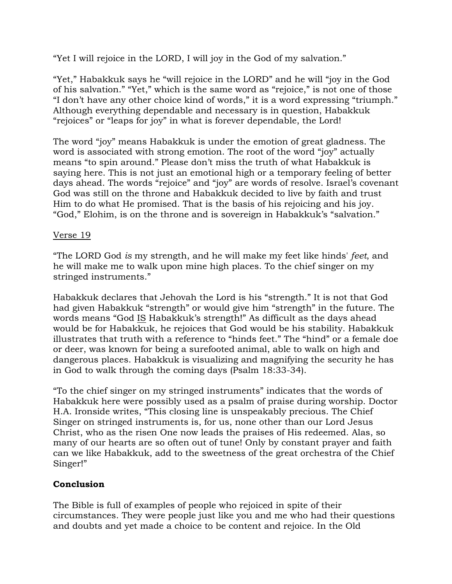"Yet I will rejoice in the LORD, I will joy in the God of my salvation."

"Yet," Habakkuk says he "will rejoice in the LORD" and he will "joy in the God of his salvation." "Yet," which is the same word as "rejoice," is not one of those "I don't have any other choice kind of words," it is a word expressing "triumph." Although everything dependable and necessary is in question, Habakkuk "rejoices" or "leaps for joy" in what is forever dependable, the Lord!

The word "joy" means Habakkuk is under the emotion of great gladness. The word is associated with strong emotion. The root of the word "joy" actually means "to spin around." Please don't miss the truth of what Habakkuk is saying here. This is not just an emotional high or a temporary feeling of better days ahead. The words "rejoice" and "joy" are words of resolve. Israel's covenant God was still on the throne and Habakkuk decided to live by faith and trust Him to do what He promised. That is the basis of his rejoicing and his joy. "God," Elohim, is on the throne and is sovereign in Habakkuk's "salvation."

### Verse 19

"The LORD God *is* my strength, and he will make my feet like hinds' *feet*, and he will make me to walk upon mine high places. To the chief singer on my stringed instruments."

Habakkuk declares that Jehovah the Lord is his "strength." It is not that God had given Habakkuk "strength" or would give him "strength" in the future. The words means "God IS Habakkuk's strength!" As difficult as the days ahead would be for Habakkuk, he rejoices that God would be his stability. Habakkuk illustrates that truth with a reference to "hinds feet." The "hind" or a female doe or deer, was known for being a surefooted animal, able to walk on high and dangerous places. Habakkuk is visualizing and magnifying the security he has in God to walk through the coming days (Psalm 18:33-34).

"To the chief singer on my stringed instruments" indicates that the words of Habakkuk here were possibly used as a psalm of praise during worship. Doctor H.A. Ironside writes, "This closing line is unspeakably precious. The Chief Singer on stringed instruments is, for us, none other than our Lord Jesus Christ, who as the risen One now leads the praises of His redeemed. Alas, so many of our hearts are so often out of tune! Only by constant prayer and faith can we like Habakkuk, add to the sweetness of the great orchestra of the Chief Singer!"

## **Conclusion**

The Bible is full of examples of people who rejoiced in spite of their circumstances. They were people just like you and me who had their questions and doubts and yet made a choice to be content and rejoice. In the Old